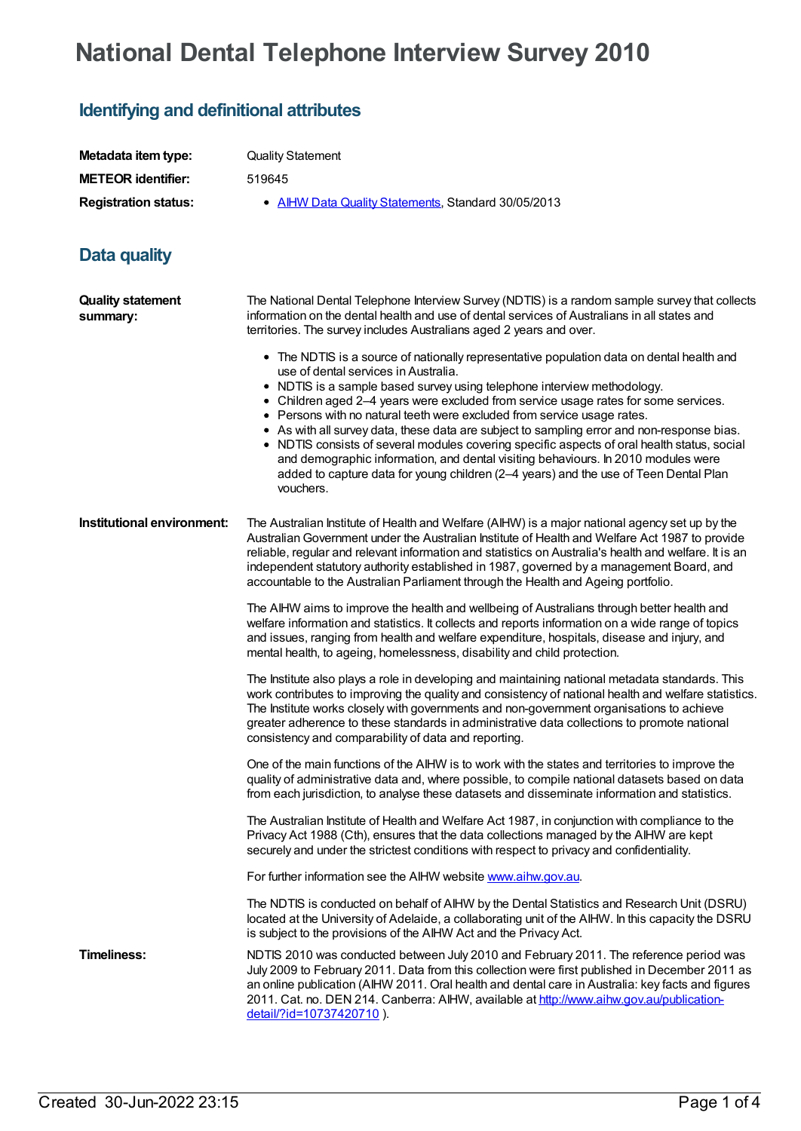## **National Dental Telephone Interview Survey 2010**

## **Identifying and definitional attributes**

| Metadata item type:         | Quality S     |
|-----------------------------|---------------|
| <b>METEOR identifier:</b>   | 519645        |
| <b>Registration status:</b> | $\bullet$ All |

**v** Statement

**AIHW Data Quality [Statements](https://meteor.aihw.gov.au/RegistrationAuthority/5), Standard 30/05/2013** 

## **Data quality**

| <b>Quality statement</b><br>summary: | The National Dental Telephone Interview Survey (NDTIS) is a random sample survey that collects<br>information on the dental health and use of dental services of Australians in all states and<br>territories. The survey includes Australians aged 2 years and over.                                                                                                                                                                                                                                                                                                                                                                                                                                                                                               |  |  |  |
|--------------------------------------|---------------------------------------------------------------------------------------------------------------------------------------------------------------------------------------------------------------------------------------------------------------------------------------------------------------------------------------------------------------------------------------------------------------------------------------------------------------------------------------------------------------------------------------------------------------------------------------------------------------------------------------------------------------------------------------------------------------------------------------------------------------------|--|--|--|
|                                      | • The NDTIS is a source of nationally representative population data on dental health and<br>use of dental services in Australia.<br>• NDTIS is a sample based survey using telephone interview methodology.<br>• Children aged 2-4 years were excluded from service usage rates for some services.<br>• Persons with no natural teeth were excluded from service usage rates.<br>• As with all survey data, these data are subject to sampling error and non-response bias.<br>NDTIS consists of several modules covering specific aspects of oral health status, social<br>and demographic information, and dental visiting behaviours. In 2010 modules were<br>added to capture data for young children (2-4 years) and the use of Teen Dental Plan<br>vouchers. |  |  |  |
| Institutional environment:           | The Australian Institute of Health and Welfare (AIHW) is a major national agency set up by the<br>Australian Government under the Australian Institute of Health and Welfare Act 1987 to provide<br>reliable, regular and relevant information and statistics on Australia's health and welfare. It is an<br>independent statutory authority established in 1987, governed by a management Board, and<br>accountable to the Australian Parliament through the Health and Ageing portfolio.                                                                                                                                                                                                                                                                          |  |  |  |
|                                      | The AIHW aims to improve the health and wellbeing of Australians through better health and<br>welfare information and statistics. It collects and reports information on a wide range of topics<br>and issues, ranging from health and welfare expenditure, hospitals, disease and injury, and<br>mental health, to ageing, homelessness, disability and child protection.                                                                                                                                                                                                                                                                                                                                                                                          |  |  |  |
|                                      | The Institute also plays a role in developing and maintaining national metadata standards. This<br>work contributes to improving the quality and consistency of national health and welfare statistics.<br>The Institute works closely with governments and non-government organisations to achieve<br>greater adherence to these standards in administrative data collections to promote national<br>consistency and comparability of data and reporting.                                                                                                                                                                                                                                                                                                          |  |  |  |
|                                      | One of the main functions of the AIHW is to work with the states and territories to improve the<br>quality of administrative data and, where possible, to compile national datasets based on data<br>from each jurisdiction, to analyse these datasets and disseminate information and statistics.                                                                                                                                                                                                                                                                                                                                                                                                                                                                  |  |  |  |
|                                      | The Australian Institute of Health and Welfare Act 1987, in conjunction with compliance to the<br>Privacy Act 1988 (Cth), ensures that the data collections managed by the AIHW are kept<br>securely and under the strictest conditions with respect to privacy and confidentiality.                                                                                                                                                                                                                                                                                                                                                                                                                                                                                |  |  |  |
|                                      | For further information see the AIHW website www.aihw.gov.au.                                                                                                                                                                                                                                                                                                                                                                                                                                                                                                                                                                                                                                                                                                       |  |  |  |
|                                      | The NDTIS is conducted on behalf of AIHW by the Dental Statistics and Research Unit (DSRU)<br>located at the University of Adelaide, a collaborating unit of the AIHW. In this capacity the DSRU<br>is subject to the provisions of the AIHW Act and the Privacy Act.                                                                                                                                                                                                                                                                                                                                                                                                                                                                                               |  |  |  |
| <b>Timeliness:</b>                   | NDTIS 2010 was conducted between July 2010 and February 2011. The reference period was<br>July 2009 to February 2011. Data from this collection were first published in December 2011 as<br>an online publication (AIHW 2011. Oral health and dental care in Australia: key facts and figures<br>2011. Cat. no. DEN 214. Canberra: AIHW, available at http://www.aihw.gov.au/publication-<br>detail/?id=10737420710).                                                                                                                                                                                                                                                                                                                                               |  |  |  |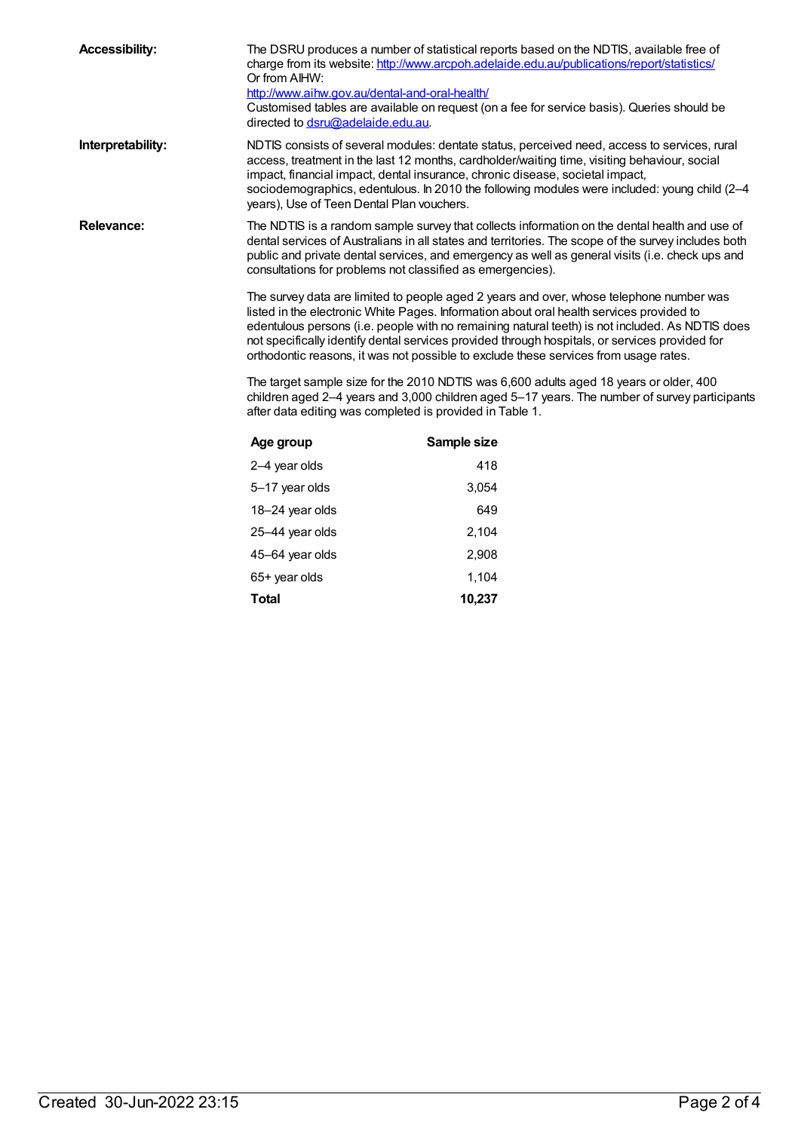| <b>Accessibility:</b> | The DSRU produces a number of statistical reports based on the NDTIS, available free of<br>charge from its website: http://www.arcpoh.adelaide.edu.au/publications/report/statistics/<br>Or from AIHW:<br>http://www.aihw.gov.au/dental-and-oral-health/<br>Customised tables are available on request (on a fee for service basis). Queries should be<br>directed to dsru@adelaide.edu.au.                                                                                                                                                                                                                                                                                                                                                                                                                                                               |             |  |  |  |
|-----------------------|-----------------------------------------------------------------------------------------------------------------------------------------------------------------------------------------------------------------------------------------------------------------------------------------------------------------------------------------------------------------------------------------------------------------------------------------------------------------------------------------------------------------------------------------------------------------------------------------------------------------------------------------------------------------------------------------------------------------------------------------------------------------------------------------------------------------------------------------------------------|-------------|--|--|--|
| Interpretability:     | NDTIS consists of several modules: dentate status, perceived need, access to services, rural<br>access, treatment in the last 12 months, cardholder/waiting time, visiting behaviour, social<br>impact, financial impact, dental insurance, chronic disease, societal impact,<br>sociodemographics, edentulous. In 2010 the following modules were included: young child (2-4<br>years), Use of Teen Dental Plan vouchers.                                                                                                                                                                                                                                                                                                                                                                                                                                |             |  |  |  |
| <b>Relevance:</b>     | The NDTIS is a random sample survey that collects information on the dental health and use of<br>dental services of Australians in all states and territories. The scope of the survey includes both<br>public and private dental services, and emergency as well as general visits (i.e. check ups and<br>consultations for problems not classified as emergencies).<br>The survey data are limited to people aged 2 years and over, whose telephone number was<br>listed in the electronic White Pages. Information about oral health services provided to<br>edentulous persons (i.e. people with no remaining natural teeth) is not included. As NDTIS does<br>not specifically identify dental services provided through hospitals, or services provided for<br>orthodontic reasons, it was not possible to exclude these services from usage rates. |             |  |  |  |
|                       |                                                                                                                                                                                                                                                                                                                                                                                                                                                                                                                                                                                                                                                                                                                                                                                                                                                           |             |  |  |  |
|                       | The target sample size for the 2010 NDTIS was 6,600 adults aged 18 years or older, 400<br>children aged 2-4 years and 3,000 children aged 5-17 years. The number of survey participants<br>after data editing was completed is provided in Table 1.                                                                                                                                                                                                                                                                                                                                                                                                                                                                                                                                                                                                       |             |  |  |  |
|                       | Age group                                                                                                                                                                                                                                                                                                                                                                                                                                                                                                                                                                                                                                                                                                                                                                                                                                                 | Sample size |  |  |  |
|                       | 2-4 year olds                                                                                                                                                                                                                                                                                                                                                                                                                                                                                                                                                                                                                                                                                                                                                                                                                                             | 418         |  |  |  |
|                       | 5-17 year olds                                                                                                                                                                                                                                                                                                                                                                                                                                                                                                                                                                                                                                                                                                                                                                                                                                            | 3,054       |  |  |  |
|                       | 18-24 year olds                                                                                                                                                                                                                                                                                                                                                                                                                                                                                                                                                                                                                                                                                                                                                                                                                                           | 649         |  |  |  |
|                       | 25-44 year olds                                                                                                                                                                                                                                                                                                                                                                                                                                                                                                                                                                                                                                                                                                                                                                                                                                           | 2,104       |  |  |  |
|                       | 45-64 year olds                                                                                                                                                                                                                                                                                                                                                                                                                                                                                                                                                                                                                                                                                                                                                                                                                                           | 2,908       |  |  |  |

65+ year olds 1,104 **Total 10,237**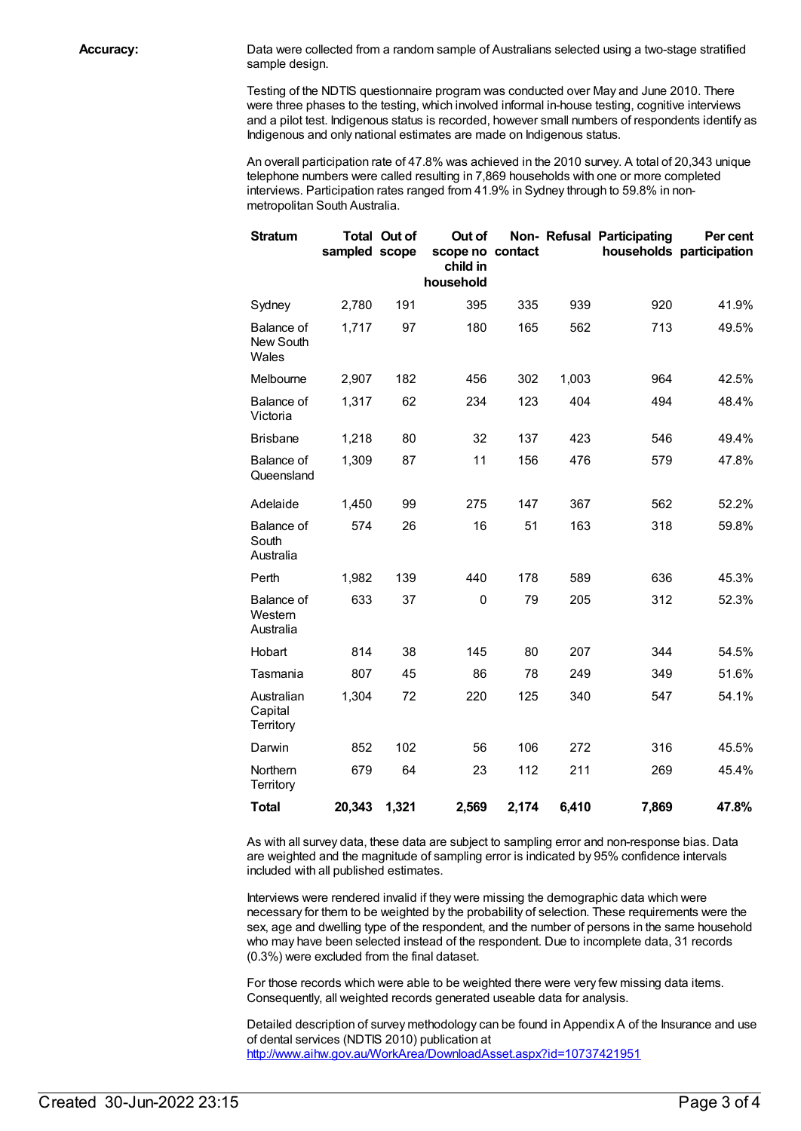**Accuracy:** Data were collected from a random sample of Australians selected using a two-stage stratified sample design.

> Testing of the NDTIS questionnaire program was conducted over May and June 2010. There were three phases to the testing, which involved informal in-house testing, cognitive interviews and a pilot test. Indigenous status is recorded, however small numbers of respondents identify as Indigenous and only national estimates are made on Indigenous status.

An overall participation rate of 47.8% was achieved in the 2010 survey. A total of 20,343 unique telephone numbers were called resulting in 7,869 households with one or more completed interviews. Participation rates ranged from 41.9% in Sydney through to 59.8% in nonmetropolitan South Australia.

| <b>Stratum</b>                            | sampled scope | <b>Total Out of</b> | Out of<br>scope no contact<br>child in<br>household |       |       | Non- Refusal Participating | Per cent<br>households participation |
|-------------------------------------------|---------------|---------------------|-----------------------------------------------------|-------|-------|----------------------------|--------------------------------------|
| Sydney                                    | 2,780         | 191                 | 395                                                 | 335   | 939   | 920                        | 41.9%                                |
| Balance of<br>New South<br>Wales          | 1,717         | 97                  | 180                                                 | 165   | 562   | 713                        | 49.5%                                |
| Melbourne                                 | 2,907         | 182                 | 456                                                 | 302   | 1,003 | 964                        | 42.5%                                |
| <b>Balance of</b><br>Victoria             | 1,317         | 62                  | 234                                                 | 123   | 404   | 494                        | 48.4%                                |
| <b>Brisbane</b>                           | 1,218         | 80                  | 32                                                  | 137   | 423   | 546                        | 49.4%                                |
| <b>Balance of</b><br>Queensland           | 1,309         | 87                  | 11                                                  | 156   | 476   | 579                        | 47.8%                                |
| Adelaide                                  | 1,450         | 99                  | 275                                                 | 147   | 367   | 562                        | 52.2%                                |
| Balance of<br>South<br>Australia          | 574           | 26                  | 16                                                  | 51    | 163   | 318                        | 59.8%                                |
| Perth                                     | 1,982         | 139                 | 440                                                 | 178   | 589   | 636                        | 45.3%                                |
| <b>Balance of</b><br>Western<br>Australia | 633           | 37                  | 0                                                   | 79    | 205   | 312                        | 52.3%                                |
| Hobart                                    | 814           | 38                  | 145                                                 | 80    | 207   | 344                        | 54.5%                                |
| Tasmania                                  | 807           | 45                  | 86                                                  | 78    | 249   | 349                        | 51.6%                                |
| Australian<br>Capital<br>Territory        | 1,304         | 72                  | 220                                                 | 125   | 340   | 547                        | 54.1%                                |
| Darwin                                    | 852           | 102                 | 56                                                  | 106   | 272   | 316                        | 45.5%                                |
| Northern<br>Territory                     | 679           | 64                  | 23                                                  | 112   | 211   | 269                        | 45.4%                                |
| <b>Total</b>                              | 20,343        | 1,321               | 2,569                                               | 2,174 | 6,410 | 7,869                      | 47.8%                                |

As with all survey data, these data are subject to sampling error and non-response bias. Data are weighted and the magnitude of sampling error is indicated by 95% confidence intervals included with all published estimates.

Interviews were rendered invalid if they were missing the demographic data which were necessary for them to be weighted by the probability of selection. These requirements were the sex, age and dwelling type of the respondent, and the number of persons in the same household who may have been selected instead of the respondent. Due to incomplete data, 31 records (0.3%) were excluded from the final dataset.

For those records which were able to be weighted there were very few missing data items. Consequently, all weighted records generated useable data for analysis.

Detailed description of survey methodology can be found in Appendix A of the Insurance and use of dental services (NDTIS 2010) publication at <http://www.aihw.gov.au/WorkArea/DownloadAsset.aspx?id=10737421951>